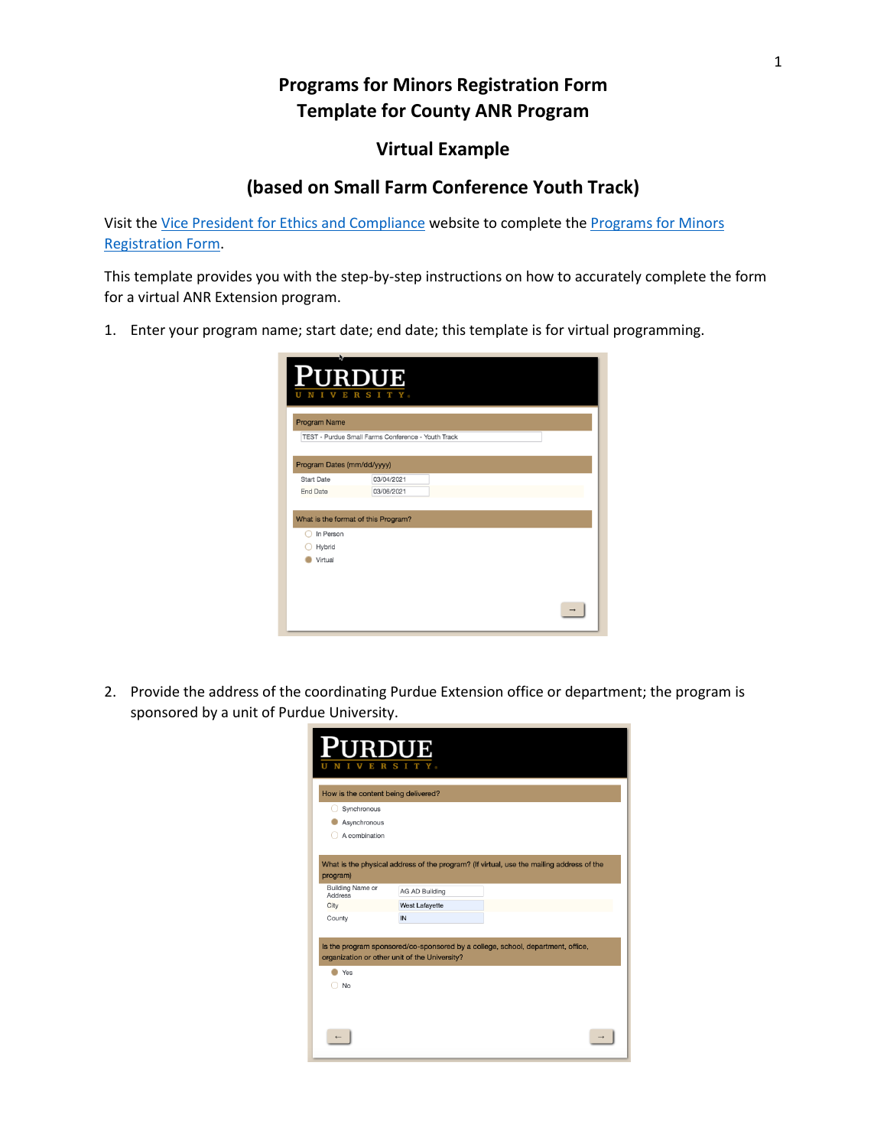## **Programs for Minors Registration Form Template for County ANR Program**

## **Virtual Example**

## **(based on Small Farm Conference Youth Track)**

Visit the [Vice President for Ethics and Compliance](https://www.purdue.edu/ethics/resources/programs-involving-minors.php) website to complete the [Programs for Minors](https://purdue.ca1.qualtrics.com/jfe/form/SV_9oj3TGyyWiVDnsF?_ga=2.96039390.315749223.1601472963-258603749.1571229914)  [Registration Form.](https://purdue.ca1.qualtrics.com/jfe/form/SV_9oj3TGyyWiVDnsF?_ga=2.96039390.315749223.1601472963-258603749.1571229914)

This template provides you with the step-by-step instructions on how to accurately complete the form for a virtual ANR Extension program.

1. Enter your program name; start date; end date; this template is for virtual programming.

|                            | <b>PURDUE</b><br>S.<br>$_{\rm R}$                  |  |
|----------------------------|----------------------------------------------------|--|
| <b>Program Name</b>        |                                                    |  |
|                            | TEST - Purdue Small Farms Conference - Youth Track |  |
| Program Dates (mm/dd/yyyy) |                                                    |  |
| <b>Start Date</b>          | 03/04/2021                                         |  |
| <b>End Date</b>            | 03/06/2021                                         |  |
| In Person                  | What is the format of this Program?                |  |
| Hybrid                     |                                                    |  |
| Virtual                    |                                                    |  |
|                            |                                                    |  |
|                            |                                                    |  |
|                            |                                                    |  |

2. Provide the address of the coordinating Purdue Extension office or department; the program is sponsored by a unit of Purdue University.

| <b>PURDUE</b>                       | S I                                                                                                                              |  |
|-------------------------------------|----------------------------------------------------------------------------------------------------------------------------------|--|
| How is the content being delivered? |                                                                                                                                  |  |
| Synchronous                         |                                                                                                                                  |  |
| Asynchronous                        |                                                                                                                                  |  |
| A combination                       |                                                                                                                                  |  |
|                                     | What is the physical address of the program? (If virtual, use the mailing address of the                                         |  |
| program)                            |                                                                                                                                  |  |
| <b>Building Name or</b><br>Address  | <b>AG AD Building</b>                                                                                                            |  |
| City                                | West Lafayette                                                                                                                   |  |
| County                              | IN                                                                                                                               |  |
|                                     | Is the program sponsored/co-sponsored by a college, school, department, office,<br>organization or other unit of the University? |  |
| Yes                                 |                                                                                                                                  |  |
| No                                  |                                                                                                                                  |  |
|                                     |                                                                                                                                  |  |
|                                     |                                                                                                                                  |  |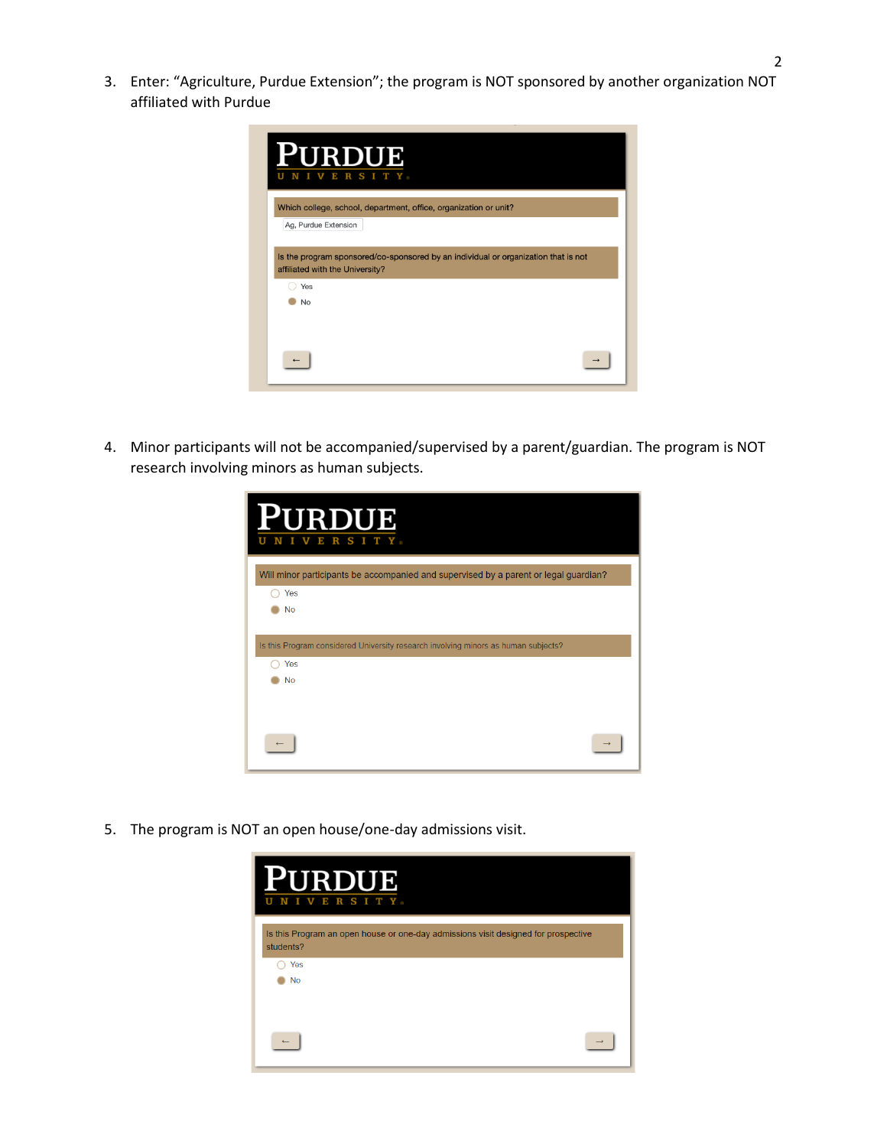3. Enter: "Agriculture, Purdue Extension"; the program is NOT sponsored by another organization NOT affiliated with Purdue

| v                    | <b>URDUE</b><br>ERSITY                                                                                                |
|----------------------|-----------------------------------------------------------------------------------------------------------------------|
|                      | Which college, school, department, office, organization or unit?                                                      |
| Ag, Purdue Extension |                                                                                                                       |
| Yes                  | Is the program sponsored/co-sponsored by an individual or organization that is not<br>affiliated with the University? |
| No                   |                                                                                                                       |
|                      |                                                                                                                       |
|                      |                                                                                                                       |

4. Minor participants will not be accompanied/supervised by a parent/guardian. The program is NOT research involving minors as human subjects.

| <b>PURDUE</b><br>S I<br>$\mathbf R$<br><b>TELEVISION</b><br>Е                        |
|--------------------------------------------------------------------------------------|
| Will minor participants be accompanied and supervised by a parent or legal guardian? |
| Yes                                                                                  |
| <b>No</b>                                                                            |
|                                                                                      |
| Is this Program considered University research involving minors as human subjects?   |
| Yes                                                                                  |
| <b>No</b>                                                                            |
|                                                                                      |
|                                                                                      |
|                                                                                      |

5. The program is NOT an open house/one-day admissions visit.

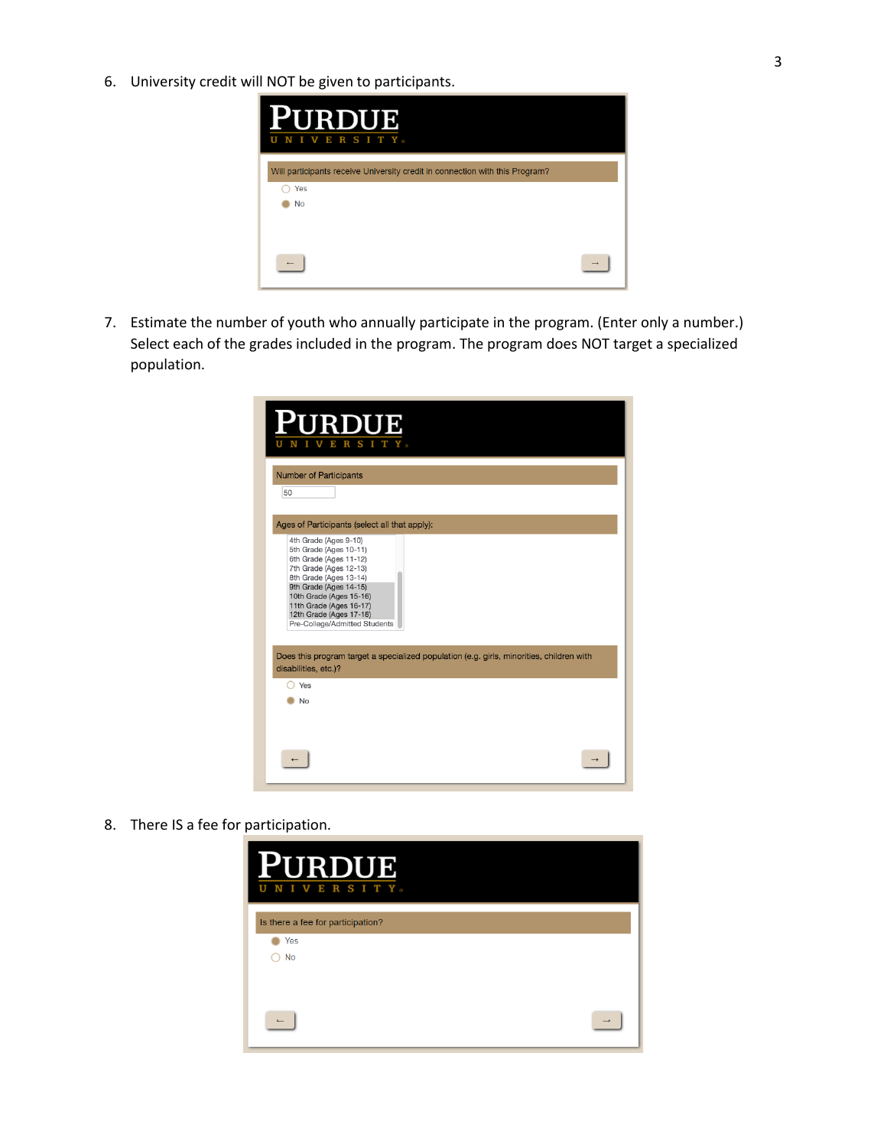6. University credit will NOT be given to participants.



7. Estimate the number of youth who annually participate in the program. (Enter only a number.) Select each of the grades included in the program. The program does NOT target a specialized population.

| <b>PURDUE</b><br>SIT<br>$\mathbf R$<br>Е                                                                                                                                                                                                                                                                                                                                                      |  |
|-----------------------------------------------------------------------------------------------------------------------------------------------------------------------------------------------------------------------------------------------------------------------------------------------------------------------------------------------------------------------------------------------|--|
| <b>Number of Participants</b>                                                                                                                                                                                                                                                                                                                                                                 |  |
| 50                                                                                                                                                                                                                                                                                                                                                                                            |  |
| Ages of Participants (select all that apply):                                                                                                                                                                                                                                                                                                                                                 |  |
| 4th Grade (Ages 9-10)<br>5th Grade (Ages 10-11)<br>6th Grade (Ages 11-12)<br>7th Grade (Ages 12-13)<br>8th Grade (Ages 13-14)<br>9th Grade (Ages 14-15)<br>10th Grade (Ages 15-16)<br>11th Grade (Ages 16-17)<br>12th Grade (Ages 17-18)<br>Pre-College/Admitted Students<br>Does this program target a specialized population (e.g. girls, minorities, children with<br>disabilities, etc.)? |  |
| Yes                                                                                                                                                                                                                                                                                                                                                                                           |  |
| <b>No</b>                                                                                                                                                                                                                                                                                                                                                                                     |  |
|                                                                                                                                                                                                                                                                                                                                                                                               |  |

8. There IS a fee for participation.

| <b>PURDUE</b><br>NIVERSITY.<br>U  |  |
|-----------------------------------|--|
| Is there a fee for participation? |  |
| Yes                               |  |
| <b>No</b>                         |  |
|                                   |  |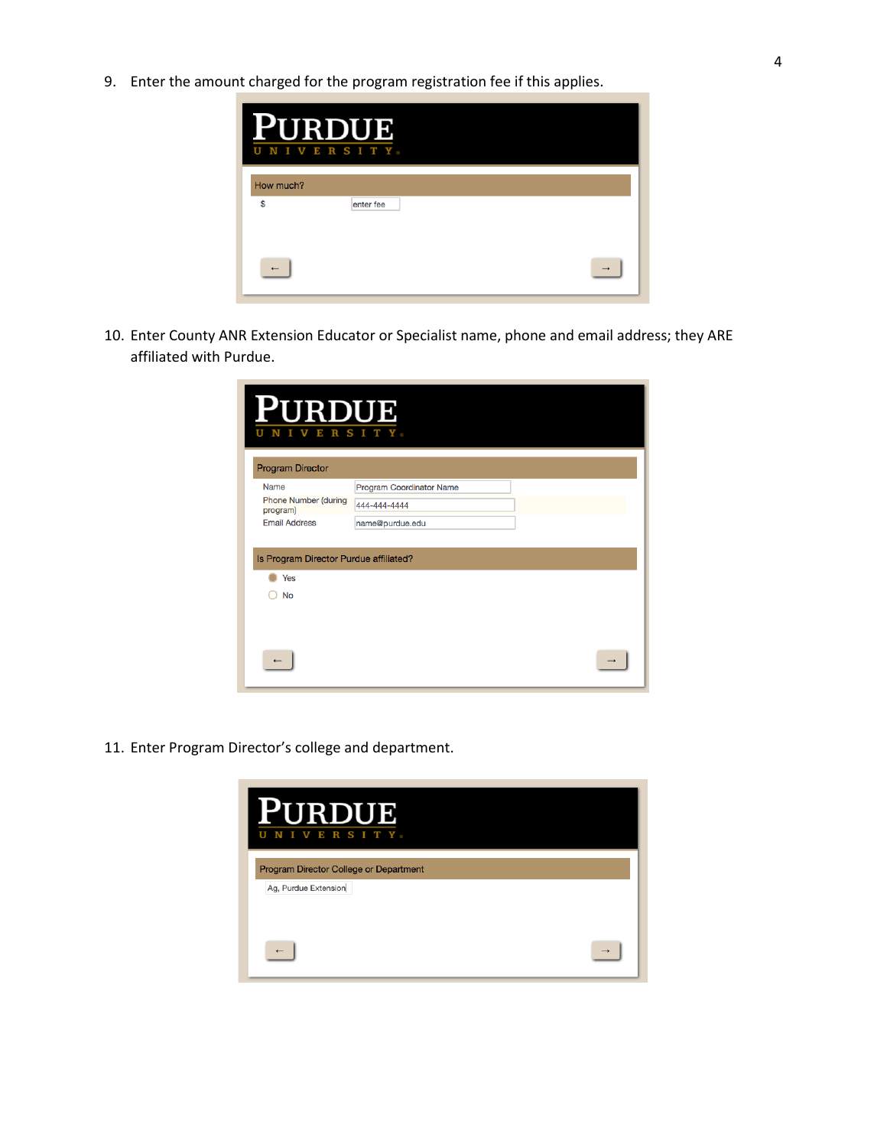9. Enter the amount charged for the program registration fee if this applies.



10. Enter County ANR Extension Educator or Specialist name, phone and email address; they ARE affiliated with Purdue.

| PURDUE<br>U<br>N<br>$\mathbf I$<br>V<br><b>Program Director</b> | ERSITY.                  |  |
|-----------------------------------------------------------------|--------------------------|--|
| Name                                                            | Program Coordinator Name |  |
| Phone Number (during<br>program)                                | 444-444-4444             |  |
| <b>Email Address</b>                                            | name@purdue.edu          |  |
| Is Program Director Purdue affiliated?<br>Yes<br>No             |                          |  |
|                                                                 |                          |  |

11. Enter Program Director's college and department.

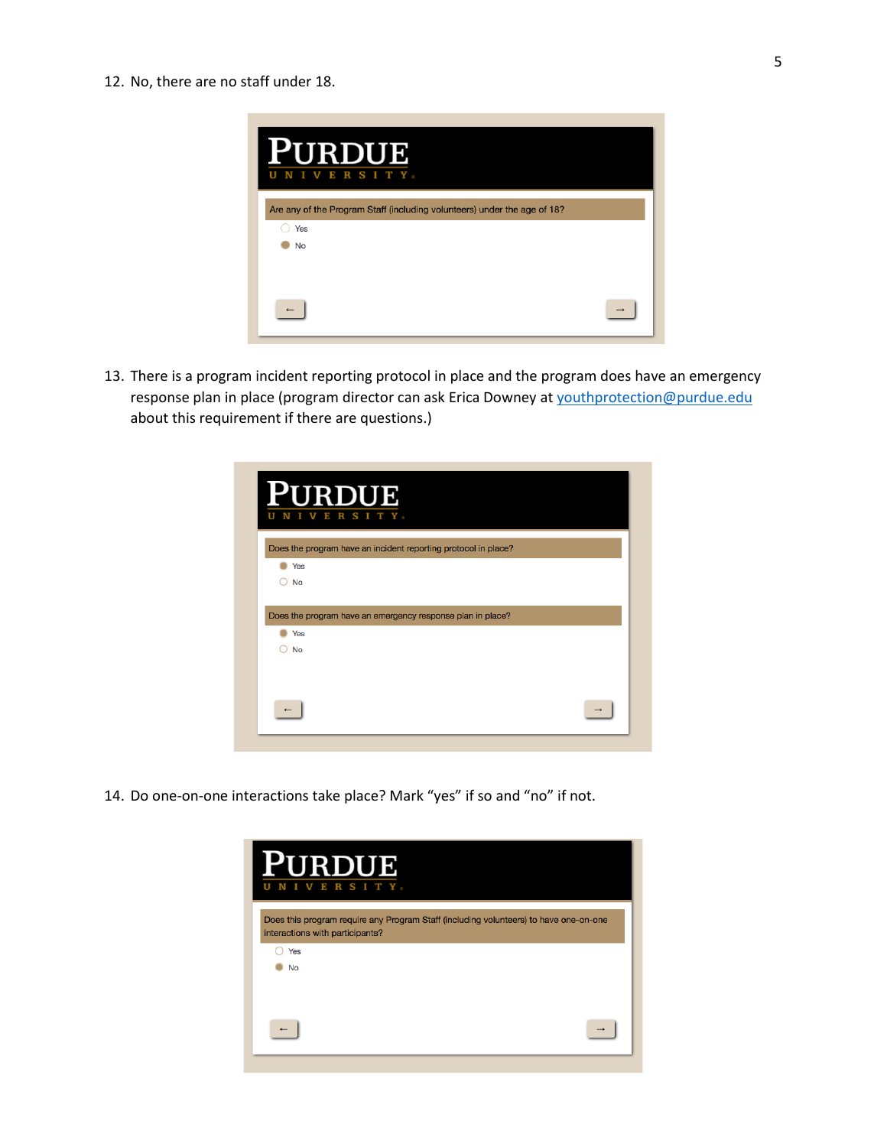

13. There is a program incident reporting protocol in place and the program does have an emergency response plan in place (program director can ask Erica Downey a[t youthprotection@purdue.edu](mailto:youthprotection@purdue.edu) about this requirement if there are questions.)

| PURDUE<br>RSITY.<br>E                                                   |  |
|-------------------------------------------------------------------------|--|
| Does the program have an incident reporting protocol in place?          |  |
| Yes                                                                     |  |
| $\bigcirc$ No                                                           |  |
|                                                                         |  |
| Yes                                                                     |  |
| Does the program have an emergency response plan in place?<br><b>No</b> |  |
|                                                                         |  |
|                                                                         |  |

14. Do one-on-one interactions take place? Mark "yes" if so and "no" if not.

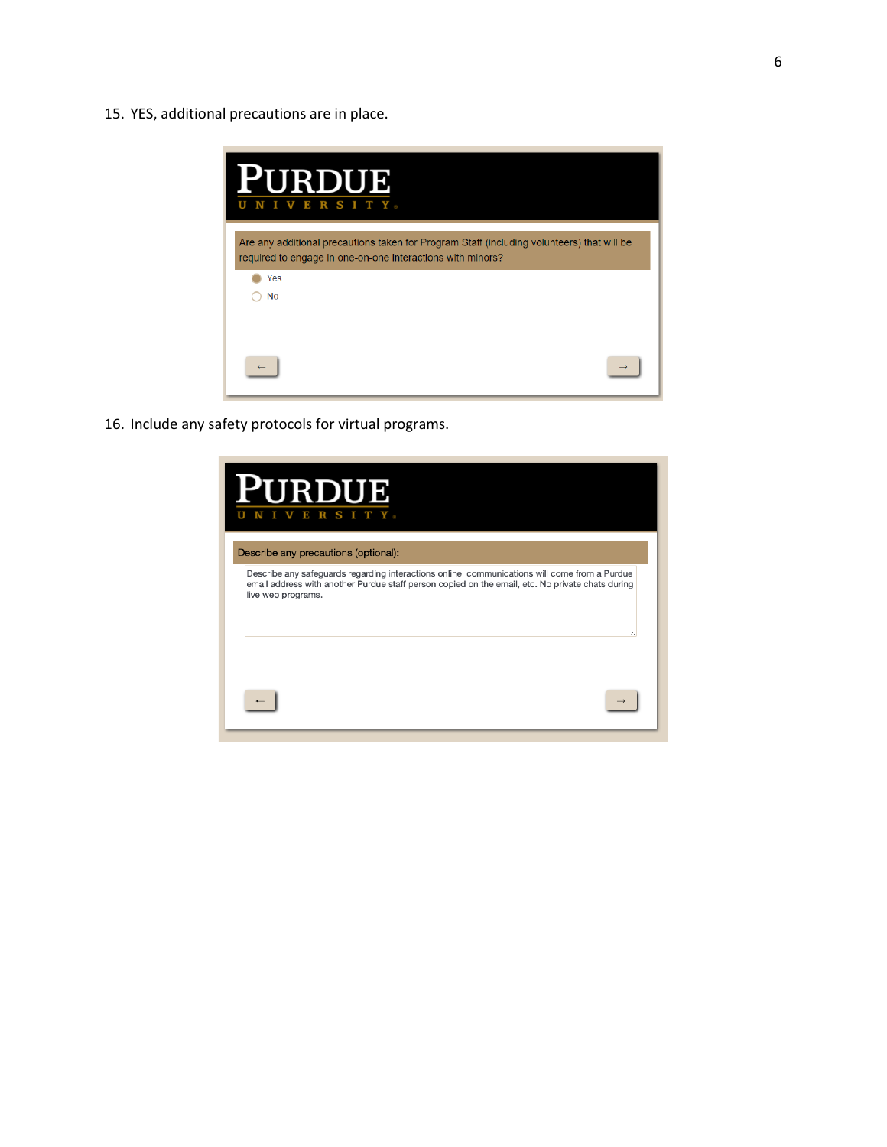15. YES, additional precautions are in place.

| <b>RDUE</b><br>ERSITY.<br>N<br>v<br>I                                                                                                                    |
|----------------------------------------------------------------------------------------------------------------------------------------------------------|
| Are any additional precautions taken for Program Staff (including volunteers) that will be<br>required to engage in one-on-one interactions with minors? |
| Yes<br>No                                                                                                                                                |
|                                                                                                                                                          |

16. Include any safety protocols for virtual programs.

| <b>RDUE</b><br>S<br>$_{\rm R}$<br>Е<br>Describe any precautions (optional):                                                                                                                                             |
|-------------------------------------------------------------------------------------------------------------------------------------------------------------------------------------------------------------------------|
| Describe any safeguards regarding interactions online, communications will come from a Purdue<br>email address with another Purdue staff person copied on the email, etc. No private chats during<br>live web programs. |
|                                                                                                                                                                                                                         |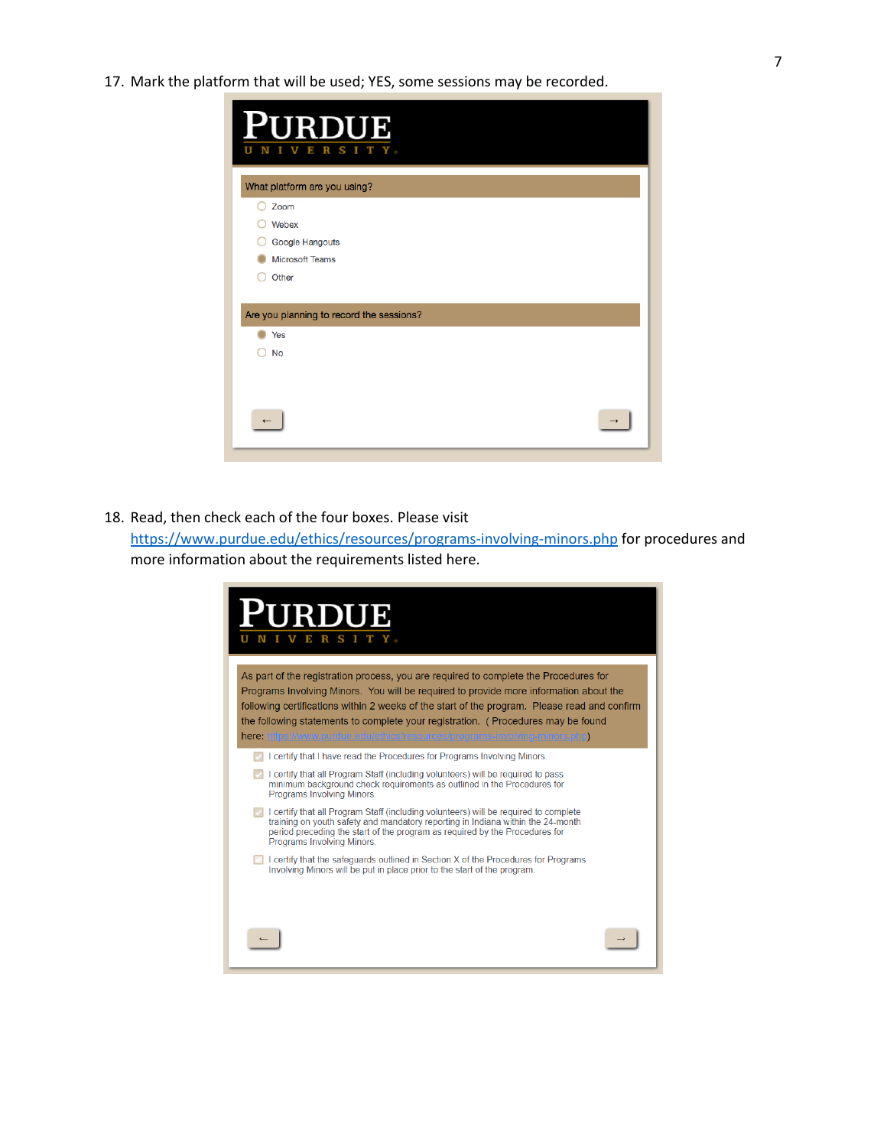17. Mark the platform that will be used; YES, some sessions may be recorded.

| <b>PURDUE</b><br>SITY:<br>$\mathbf R$<br>Ε |  |
|--------------------------------------------|--|
| What platform are you using?               |  |
| Zoom                                       |  |
| Webex                                      |  |
| Google Hangouts                            |  |
| <b>Microsoft Teams</b>                     |  |
| Other                                      |  |
|                                            |  |
| Are you planning to record the sessions?   |  |
| Yes                                        |  |
| <b>No</b>                                  |  |
|                                            |  |
|                                            |  |
|                                            |  |
|                                            |  |
|                                            |  |

18. Read, then check each of the four boxes. Please visit

<https://www.purdue.edu/ethics/resources/programs-involving-minors.php> for procedures and more information about the requirements listed here.

| <b>JRDUE</b><br>S <sub>T</sub>                                                                                                                                                                                                                                                                                                                                                                                                                    |
|---------------------------------------------------------------------------------------------------------------------------------------------------------------------------------------------------------------------------------------------------------------------------------------------------------------------------------------------------------------------------------------------------------------------------------------------------|
| As part of the registration process, you are reguired to complete the Procedures for<br>Programs Involving Minors. You will be reguired to provide more information about the<br>following certifications within 2 weeks of the start of the program. Please read and confirm<br>the following statements to complete your registration. (Procedures may be found<br>here: https://www.purdue.edu/ethics/resources/programs-involving-minors.php) |
| I certify that I have read the Procedures for Programs Involving Minors.<br>I certify that all Program Staff (including volunteers) will be required to pass<br>minimum background check requirements as outlined in the Procedures for<br>Programs Involving Minors.                                                                                                                                                                             |
| <b>I</b> certify that all Program Staff (including volunteers) will be required to complete<br>training on youth safety and mandatory reporting in Indiana within the 24-month<br>period preceding the start of the program as required by the Procedures for<br>Programs Involving Minors.                                                                                                                                                       |
| I certify that the safeguards outlined in Section X of the Procedures for Programs<br>Involving Minors will be put in place prior to the start of the program.                                                                                                                                                                                                                                                                                    |
|                                                                                                                                                                                                                                                                                                                                                                                                                                                   |